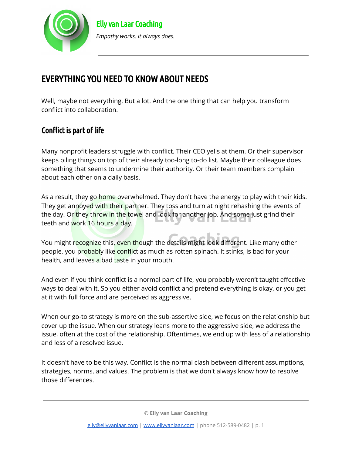

# EVERYTHING YOU NEED TO KNOW ABOUT NEEDS

Well, maybe not everything. But a lot. And the one thing that can help you transform conflict into collaboration.

# Conflict is part of life

Many nonprofit leaders struggle with conflict. Their CEO yells at them. Or their supervisor keeps piling things on top of their already too-long to-do list. Maybe their colleague does something that seems to undermine their authority. Or their team members complain about each other on a daily basis.

As a result, they go home overwhelmed. They don't have the energy to play with their kids. They get annoyed with their partner. They toss and turn at night rehashing the events of the day. Or they throw in the towel and look for another job. And some just grind their teeth and work 16 hours a day.

You might recognize this, even though the details might look different. Like many other people, you probably like conflict as much as rotten spinach. It stinks, is bad for your health, and leaves a bad taste in your mouth.

And even if you think conflict is a normal part of life, you probably weren't taught effective ways to deal with it. So you either avoid conflict and pretend everything is okay, or you get at it with full force and are perceived as aggressive.

When our go-to strategy is more on the sub-assertive side, we focus on the relationship but cover up the issue. When our strategy leans more to the aggressive side, we address the issue, often at the cost of the relationship. Oftentimes, we end up with less of a relationship and less of a resolved issue.

It doesn't have to be this way. Conflict is the normal clash between different assumptions, strategies, norms, and values. The problem is that we don't always know how to resolve those differences.

**© Elly van Laar Coaching**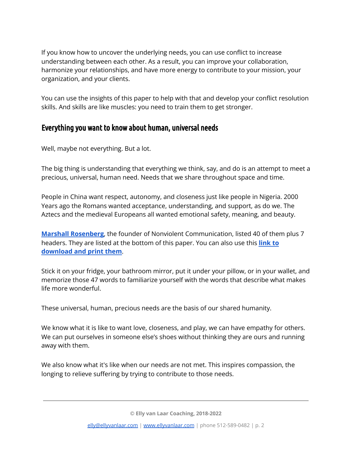If you know how to uncover the underlying needs, you can use conflict to increase understanding between each other. As a result, you can improve your collaboration, harmonize your relationships, and have more energy to contribute to your mission, your organization, and your clients.

You can use the insights of this paper to help with that and develop your conflict resolution skills. And skills are like muscles: you need to train them to get stronger.

# Everything you want to know about human, universal needs

Well, maybe not everything. But a lot.

The big thing is understanding that everything we think, say, and do is an attempt to meet a precious, universal, human need. Needs that we share throughout space and time.

People in China want respect, autonomy, and closeness just like people in Nigeria. 2000 Years ago the Romans wanted acceptance, understanding, and support, as do we. The Aztecs and the medieval Europeans all wanted emotional safety, meaning, and beauty.

**Marshall [Rosenberg](https://www.cnvc.org/about/marshall)**, the founder of Nonviolent Communication, listed 40 of them plus 7 headers. They are listed at the bottom of this paper. You can also use this **[link](https://ellyvanlaar.com/wp-content/uploads/2021/03/Human-Universal-Needs.pdf) to [download](https://ellyvanlaar.com/wp-content/uploads/2021/03/Human-Universal-Needs.pdf) and print them**.

Stick it on your fridge, your bathroom mirror, put it under your pillow, or in your wallet, and memorize those 47 words to familiarize yourself with the words that describe what makes life more wonderful.

These universal, human, precious needs are the basis of our shared humanity.

We know what it is like to want love, closeness, and play, we can have empathy for others. We can put ourselves in someone else's shoes without thinking they are ours and running away with them.

We also know what it's like when our needs are not met. This inspires compassion, the longing to relieve suffering by trying to contribute to those needs.

**© Elly van Laar Coaching, 2018-2022**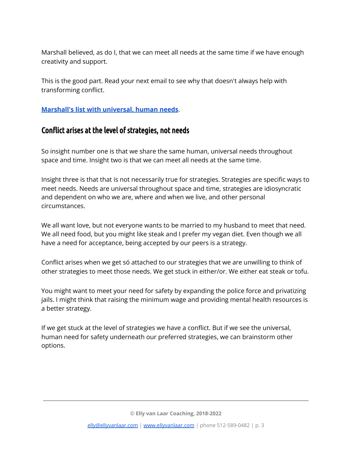Marshall believed, as do I, that we can meet all needs at the same time if we have enough creativity and support.

This is the good part. Read your next email to see why that doesn't always help with transforming conflict.

**[Marshall's](https://ellyvanlaar.com/wp-content/uploads/2021/03/Human-Universal-Needs.pdf) list with universal, human needs**.

## Conflict arises at the level of strategies, not needs

So insight number one is that we share the same human, universal needs throughout space and time. Insight two is that we can meet all needs at the same time.

Insight three is that that is not necessarily true for strategies. Strategies are specific ways to meet needs. Needs are universal throughout space and time, strategies are idiosyncratic and dependent on who we are, where and when we live, and other personal circumstances.

We all want love, but not everyone wants to be married to my husband to meet that need. We all need food, but you might like steak and I prefer my vegan diet. Even though we all have a need for acceptance, being accepted by our peers is a strategy.

Conflict arises when we get só attached to our strategies that we are unwilling to think of other strategies to meet those needs. We get stuck in either/or. We either eat steak or tofu.

You might want to meet your need for safety by expanding the police force and privatizing jails. I might think that raising the minimum wage and providing mental health resources is a better strategy.

If we get stuck at the level of strategies we have a conflict. But if we see the universal, human need for safety underneath our preferred strategies, we can brainstorm other options.

**© Elly van Laar Coaching, 2018-2022**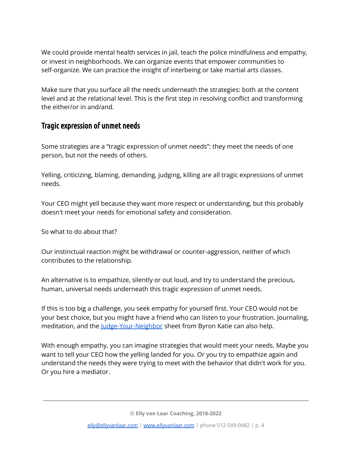We could provide mental health services in jail, teach the police mindfulness and empathy, or invest in neighborhoods. We can organize events that empower communities to self-organize. We can practice the insight of interbeing or take martial arts classes.

Make sure that you surface all the needs underneath the strategies: both at the content level and at the relational level. This is the first step in resolving conflict and transforming the either/or in and/and.

## Tragic expression of unmet needs

Some strategies are a "tragic expression of unmet needs": they meet the needs of one person, but not the needs of others.

Yelling, criticizing, blaming, demanding, judging, killing are all tragic expressions of unmet needs.

Your CEO might yell because they want more respect or understanding, but this probably doesn't meet your needs for emotional safety and consideration.

So what to do about that?

Our instinctual reaction might be withdrawal or counter-aggression, neither of which contributes to the relationship.

An alternative is to empathize, silently or out loud, and try to understand the precious, human, universal needs underneath this tragic expression of unmet needs.

If this is too big a challenge, you seek empathy for yourself first. Your CEO would not be your best choice, but you might have a friend who can listen to your frustration. Journaling, meditation, and the [Judge-Your-Neighbor](http://thework.com/wp-content/uploads/2019/02/jyn_en_mod_6feb2019_r4_form1.pdf) sheet from Byron Katie can also help.

With enough empathy, you can imagine strategies that would meet your needs. Maybe you want to tell your CEO how the yelling landed for you. Or you try to empathize again and understand the needs they were trying to meet with the behavior that didn't work for you. Or you hire a mediator.

**© Elly van Laar Coaching, 2018-2022**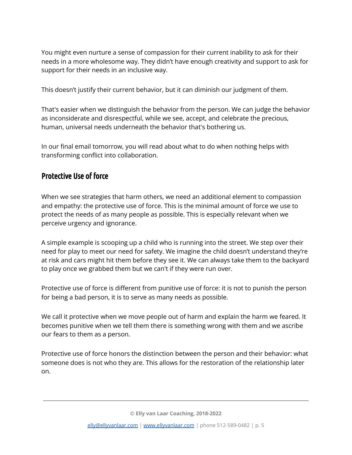You might even nurture a sense of compassion for their current inability to ask for their needs in a more wholesome way. They didn't have enough creativity and support to ask for support for their needs in an inclusive way.

This doesn't justify their current behavior, but it can diminish our judgment of them.

That's easier when we distinguish the behavior from the person. We can judge the behavior as inconsiderate and disrespectful, while we see, accept, and celebrate the precious, human, universal needs underneath the behavior that's bothering us.

In our final email tomorrow, you will read about what to do when nothing helps with transforming conflict into collaboration.

# Protective Use of force

When we see strategies that harm others, we need an additional element to compassion and empathy: the protective use of force. This is the minimal amount of force we use to protect the needs of as many people as possible. This is especially relevant when we perceive urgency and ignorance.

A simple example is scooping up a child who is running into the street. We step over their need for play to meet our need for safety. We imagine the child doesn't understand they're at risk and cars might hit them before they see it. We can always take them to the backyard to play once we grabbed them but we can't if they were run over.

Protective use of force is different from punitive use of force: it is not to punish the person for being a bad person, it is to serve as many needs as possible.

We call it protective when we move people out of harm and explain the harm we feared. It becomes punitive when we tell them there is something wrong with them and we ascribe our fears to them as a person.

Protective use of force honors the distinction between the person and their behavior: what someone does is not who they are. This allows for the restoration of the relationship later on.

**© Elly van Laar Coaching, 2018-2022**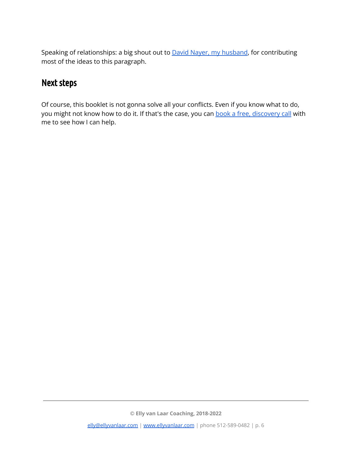Speaking of relationships: a big shout out to **David Nayer**, my [husband](https://www.linkedin.com/search/results/all/?keywords=david%20nayer&origin=RICH_QUERY_SUGGESTION&position=0&searchId=5ec7bb70-8f32-464a-b7aa-41549f9df077&sid=)Ee), for contributing most of the ideas to this paragraph.

# Next steps

Of course, this booklet is not gonna solve all your conflicts. Even if you know what to do, you might not know how to do it. If that's the case, you can book a free, [discovery](https://ellyvanlaarcoaching.as.me/discovery-session) call with me to see how I can help.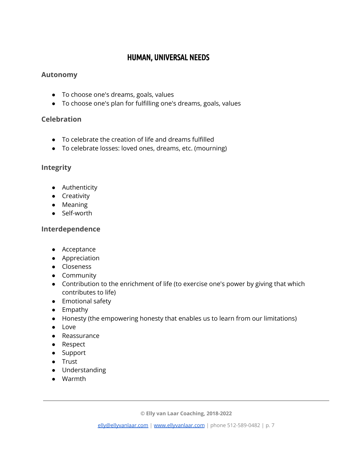# HUMAN, UNIVERSAL NEEDS

#### **Autonomy**

- To choose one's dreams, goals, values
- To choose one's plan for fulfilling one's dreams, goals, values

## **Celebration**

- To celebrate the creation of life and dreams fulfilled
- To celebrate losses: loved ones, dreams, etc. (mourning)

# **Integrity**

- Authenticity
- Creativity
- Meaning
- Self-worth

### **Interdependence**

- Acceptance
- Appreciation
- Closeness
- Community
- Contribution to the enrichment of life (to exercise one's power by giving that which contributes to life)
- Emotional safety
- Empathy
- Honesty (the empowering honesty that enables us to learn from our limitations)
- Love
- Reassurance
- Respect
- Support
- Trust
- Understanding
- Warmth